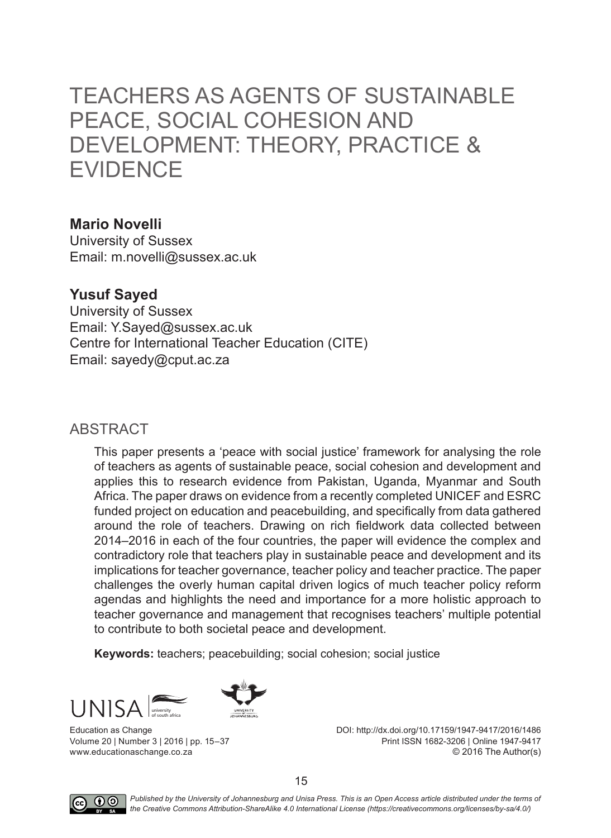# TEACHERS AS AGENTS OF SUSTAINABLE PEACE, SOCIAL COHESION AND DEVELOPMENT: THEORY, PRACTICE & EVIDENCE

#### **Mario Novelli**

University of Sussex Email: m.novelli@sussex.ac.uk

#### **Yusuf Sayed**

University of Sussex Email: Y.Sayed@sussex.ac.uk Centre for International Teacher Education (CITE) Email: sayedy@cput.ac.za

#### ABSTRACT

This paper presents a 'peace with social justice' framework for analysing the role of teachers as agents of sustainable peace, social cohesion and development and applies this to research evidence from Pakistan, Uganda, Myanmar and South Africa. The paper draws on evidence from a recently completed UNICEF and ESRC funded project on education and peacebuilding, and specifically from data gathered around the role of teachers. Drawing on rich fieldwork data collected between 2014–2016 in each of the four countries, the paper will evidence the complex and contradictory role that teachers play in sustainable peace and development and its implications for teacher governance, teacher policy and teacher practice. The paper challenges the overly human capital driven logics of much teacher policy reform agendas and highlights the need and importance for a more holistic approach to teacher governance and management that recognises teachers' multiple potential to contribute to both societal peace and development.

**Keywords:** teachers; peacebuilding; social cohesion; social justice



Education as Change Volume 20 | Number 3 | 2016 | pp. 15–37 www.educationaschange.co.za

DOI: http://dx.doi.org/10.17159/1947-9417/2016/1486 Print ISSN 1682-3206 | Online 1947-9417 © 2016 The Author(s)



**(i)**  $\odot$  Published by the University of Johannesburg and Unisa Press. This is an Open Access article distributed under the terms of *the Creative Commons Attribution-ShareAlike 4.0 International License (https://creativecommons.org/licenses/by-sa/4.0/)*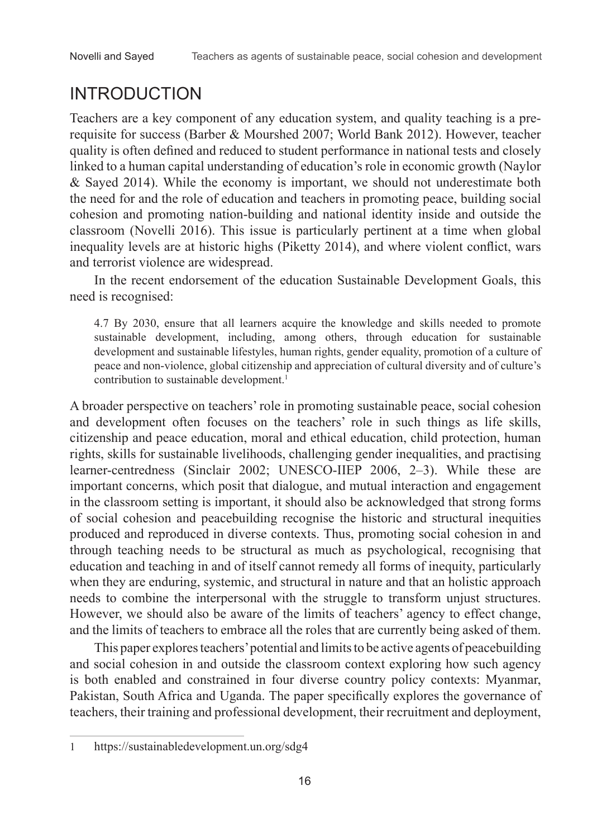# INTRODUCTION

Teachers are a key component of any education system, and quality teaching is a prerequisite for success (Barber & Mourshed 2007; World Bank 2012). However, teacher quality is often defined and reduced to student performance in national tests and closely linked to a human capital understanding of education's role in economic growth (Naylor & Sayed 2014). While the economy is important, we should not underestimate both the need for and the role of education and teachers in promoting peace, building social cohesion and promoting nation-building and national identity inside and outside the classroom (Novelli 2016). This issue is particularly pertinent at a time when global inequality levels are at historic highs (Piketty 2014), and where violent conflict, wars and terrorist violence are widespread.

In the recent endorsement of the education Sustainable Development Goals, this need is recognised:

4.7 By 2030, ensure that all learners acquire the knowledge and skills needed to promote sustainable development, including, among others, through education for sustainable development and sustainable lifestyles, human rights, gender equality, promotion of a culture of peace and non-violence, global citizenship and appreciation of cultural diversity and of culture's contribution to sustainable development.<sup>1</sup>

A broader perspective on teachers' role in promoting sustainable peace, social cohesion and development often focuses on the teachers' role in such things as life skills, citizenship and peace education, moral and ethical education, child protection, human rights, skills for sustainable livelihoods, challenging gender inequalities, and practising learner-centredness (Sinclair 2002; UNESCO-IIEP 2006, 2–3). While these are important concerns, which posit that dialogue, and mutual interaction and engagement in the classroom setting is important, it should also be acknowledged that strong forms of social cohesion and peacebuilding recognise the historic and structural inequities produced and reproduced in diverse contexts. Thus, promoting social cohesion in and through teaching needs to be structural as much as psychological, recognising that education and teaching in and of itself cannot remedy all forms of inequity, particularly when they are enduring, systemic, and structural in nature and that an holistic approach needs to combine the interpersonal with the struggle to transform unjust structures. However, we should also be aware of the limits of teachers' agency to effect change, and the limits of teachers to embrace all the roles that are currently being asked of them.

This paper explores teachers' potential and limits to be active agents of peacebuilding and social cohesion in and outside the classroom context exploring how such agency is both enabled and constrained in four diverse country policy contexts: Myanmar, Pakistan, South Africa and Uganda. The paper specifically explores the governance of teachers, their training and professional development, their recruitment and deployment,

<sup>1</sup> https://sustainabledevelopment.un.org/sdg4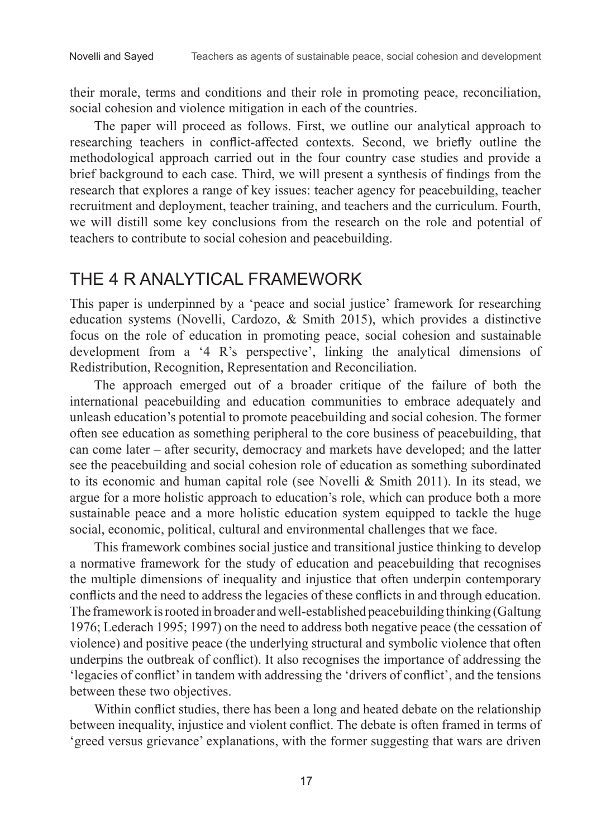their morale, terms and conditions and their role in promoting peace, reconciliation, social cohesion and violence mitigation in each of the countries.

The paper will proceed as follows. First, we outline our analytical approach to researching teachers in conflict-affected contexts. Second, we briefly outline the methodological approach carried out in the four country case studies and provide a brief background to each case. Third, we will present a synthesis of findings from the research that explores a range of key issues: teacher agency for peacebuilding, teacher recruitment and deployment, teacher training, and teachers and the curriculum. Fourth, we will distill some key conclusions from the research on the role and potential of teachers to contribute to social cohesion and peacebuilding.

### THE 4 R ANALYTICAL FRAMEWORK

This paper is underpinned by a 'peace and social justice' framework for researching education systems (Novelli, Cardozo, & Smith 2015), which provides a distinctive focus on the role of education in promoting peace, social cohesion and sustainable development from a '4 R's perspective', linking the analytical dimensions of Redistribution, Recognition, Representation and Reconciliation.

The approach emerged out of a broader critique of the failure of both the international peacebuilding and education communities to embrace adequately and unleash education's potential to promote peacebuilding and social cohesion. The former often see education as something peripheral to the core business of peacebuilding, that can come later – after security, democracy and markets have developed; and the latter see the peacebuilding and social cohesion role of education as something subordinated to its economic and human capital role (see Novelli & Smith 2011). In its stead, we argue for a more holistic approach to education's role, which can produce both a more sustainable peace and a more holistic education system equipped to tackle the huge social, economic, political, cultural and environmental challenges that we face.

This framework combines social justice and transitional justice thinking to develop a normative framework for the study of education and peacebuilding that recognises the multiple dimensions of inequality and injustice that often underpin contemporary conflicts and the need to address the legacies of these conflicts in and through education. The framework is rooted in broader and well-established peacebuilding thinking (Galtung 1976; Lederach 1995; 1997) on the need to address both negative peace (the cessation of violence) and positive peace (the underlying structural and symbolic violence that often underpins the outbreak of conflict). It also recognises the importance of addressing the 'legacies of conflict' in tandem with addressing the 'drivers of conflict', and the tensions between these two objectives.

Within conflict studies, there has been a long and heated debate on the relationship between inequality, injustice and violent conflict. The debate is often framed in terms of 'greed versus grievance' explanations, with the former suggesting that wars are driven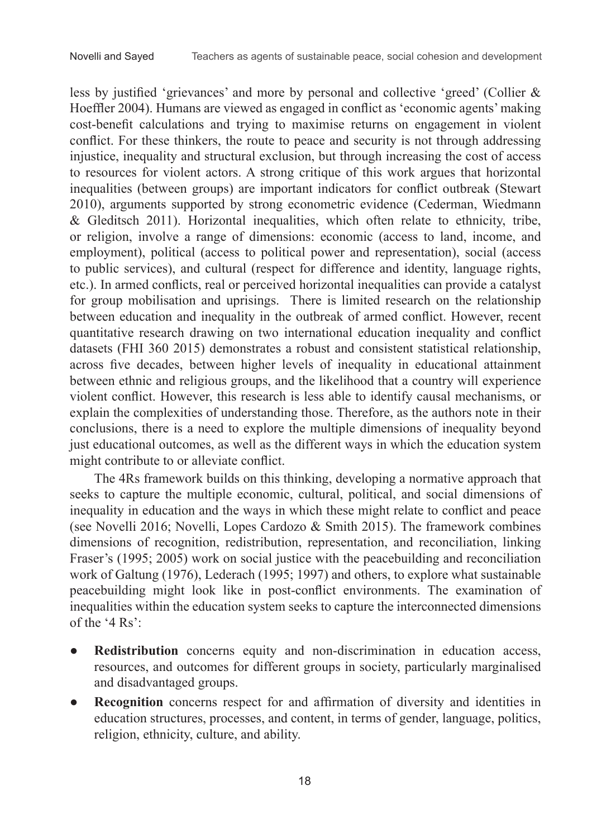less by justified 'grievances' and more by personal and collective 'greed' (Collier & Hoeffler 2004). Humans are viewed as engaged in conflict as 'economic agents' making cost-benefit calculations and trying to maximise returns on engagement in violent conflict. For these thinkers, the route to peace and security is not through addressing injustice, inequality and structural exclusion, but through increasing the cost of access to resources for violent actors. A strong critique of this work argues that horizontal inequalities (between groups) are important indicators for conflict outbreak (Stewart 2010), arguments supported by strong econometric evidence (Cederman, Wiedmann & Gleditsch 2011). Horizontal inequalities, which often relate to ethnicity, tribe, or religion, involve a range of dimensions: economic (access to land, income, and employment), political (access to political power and representation), social (access to public services), and cultural (respect for difference and identity, language rights, etc.). In armed conflicts, real or perceived horizontal inequalities can provide a catalyst for group mobilisation and uprisings. There is limited research on the relationship between education and inequality in the outbreak of armed conflict. However, recent quantitative research drawing on two international education inequality and conflict datasets (FHI 360 2015) demonstrates a robust and consistent statistical relationship, across five decades, between higher levels of inequality in educational attainment between ethnic and religious groups, and the likelihood that a country will experience violent conflict. However, this research is less able to identify causal mechanisms, or explain the complexities of understanding those. Therefore, as the authors note in their conclusions, there is a need to explore the multiple dimensions of inequality beyond just educational outcomes, as well as the different ways in which the education system might contribute to or alleviate conflict.

The 4Rs framework builds on this thinking, developing a normative approach that seeks to capture the multiple economic, cultural, political, and social dimensions of inequality in education and the ways in which these might relate to conflict and peace (see Novelli 2016; Novelli, Lopes Cardozo & Smith 2015). The framework combines dimensions of recognition, redistribution, representation, and reconciliation, linking Fraser's (1995; 2005) work on social justice with the peacebuilding and reconciliation work of Galtung (1976), Lederach (1995; 1997) and others, to explore what sustainable peacebuilding might look like in post-conflict environments. The examination of inequalities within the education system seeks to capture the interconnected dimensions of the '4 Rs':

- **Redistribution** concerns equity and non-discrimination in education access, resources, and outcomes for different groups in society, particularly marginalised and disadvantaged groups.
- **Recognition** concerns respect for and affirmation of diversity and identities in education structures, processes, and content, in terms of gender, language, politics, religion, ethnicity, culture, and ability.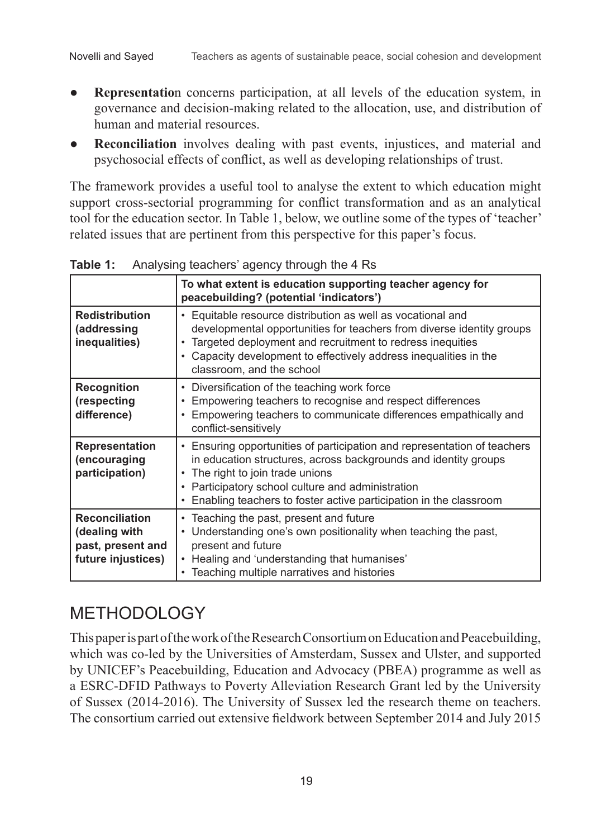- **Representation** concerns participation, at all levels of the education system, in governance and decision-making related to the allocation, use, and distribution of human and material resources.
- **Reconciliation** involves dealing with past events, injustices, and material and psychosocial effects of conflict, as well as developing relationships of trust.

The framework provides a useful tool to analyse the extent to which education might support cross-sectorial programming for conflict transformation and as an analytical tool for the education sector. In Table 1, below, we outline some of the types of 'teacher' related issues that are pertinent from this perspective for this paper's focus.

|                                                                                   | To what extent is education supporting teacher agency for<br>peacebuilding? (potential 'indicators')                                                                                                                                                                                                      |
|-----------------------------------------------------------------------------------|-----------------------------------------------------------------------------------------------------------------------------------------------------------------------------------------------------------------------------------------------------------------------------------------------------------|
| <b>Redistribution</b><br>(addressing<br>inequalities)                             | • Equitable resource distribution as well as vocational and<br>developmental opportunities for teachers from diverse identity groups<br>Targeted deployment and recruitment to redress inequities<br>• Capacity development to effectively address inequalities in the<br>classroom, and the school       |
| <b>Recognition</b><br>(respecting<br>difference)                                  | Diversification of the teaching work force<br>Empowering teachers to recognise and respect differences<br>• Empowering teachers to communicate differences empathically and<br>conflict-sensitively                                                                                                       |
| <b>Representation</b><br>(encouraging<br>participation)                           | • Ensuring opportunities of participation and representation of teachers<br>in education structures, across backgrounds and identity groups<br>• The right to join trade unions<br>• Participatory school culture and administration<br>Enabling teachers to foster active participation in the classroom |
| <b>Reconciliation</b><br>(dealing with<br>past, present and<br>future injustices) | • Teaching the past, present and future<br>• Understanding one's own positionality when teaching the past,<br>present and future<br>• Healing and 'understanding that humanises'<br>• Teaching multiple narratives and histories                                                                          |

**Table 1:** Analysing teachers' agency through the 4 Rs

## **METHODOLOGY**

This paper is part of the work of the Research Consortium on Education and Peacebuilding, which was co-led by the Universities of Amsterdam, Sussex and Ulster, and supported by UNICEF's Peacebuilding, Education and Advocacy (PBEA) programme as well as a ESRC-DFID Pathways to Poverty Alleviation Research Grant led by the University of Sussex (2014-2016). The University of Sussex led the research theme on teachers. The consortium carried out extensive fieldwork between September 2014 and July 2015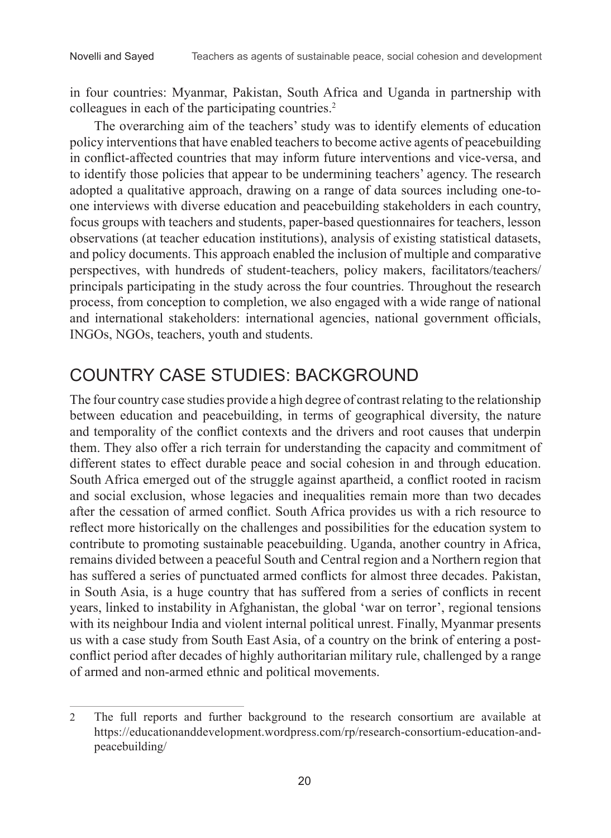in four countries: Myanmar, Pakistan, South Africa and Uganda in partnership with colleagues in each of the participating countries.<sup>2</sup>

The overarching aim of the teachers' study was to identify elements of education policy interventions that have enabled teachers to become active agents of peacebuilding in conflict-affected countries that may inform future interventions and vice-versa, and to identify those policies that appear to be undermining teachers' agency. The research adopted a qualitative approach, drawing on a range of data sources including one-toone interviews with diverse education and peacebuilding stakeholders in each country, focus groups with teachers and students, paper-based questionnaires for teachers, lesson observations (at teacher education institutions), analysis of existing statistical datasets, and policy documents. This approach enabled the inclusion of multiple and comparative perspectives, with hundreds of student-teachers, policy makers, facilitators/teachers/ principals participating in the study across the four countries. Throughout the research process, from conception to completion, we also engaged with a wide range of national and international stakeholders: international agencies, national government officials, INGOs, NGOs, teachers, youth and students.

## COUNTRY CASE STUDIES: BACKGROUND

The four country case studies provide a high degree of contrast relating to the relationship between education and peacebuilding, in terms of geographical diversity, the nature and temporality of the conflict contexts and the drivers and root causes that underpin them. They also offer a rich terrain for understanding the capacity and commitment of different states to effect durable peace and social cohesion in and through education. South Africa emerged out of the struggle against apartheid, a conflict rooted in racism and social exclusion, whose legacies and inequalities remain more than two decades after the cessation of armed conflict. South Africa provides us with a rich resource to reflect more historically on the challenges and possibilities for the education system to contribute to promoting sustainable peacebuilding. Uganda, another country in Africa, remains divided between a peaceful South and Central region and a Northern region that has suffered a series of punctuated armed conflicts for almost three decades. Pakistan, in South Asia, is a huge country that has suffered from a series of conflicts in recent years, linked to instability in Afghanistan, the global 'war on terror', regional tensions with its neighbour India and violent internal political unrest. Finally, Myanmar presents us with a case study from South East Asia, of a country on the brink of entering a postconflict period after decades of highly authoritarian military rule, challenged by a range of armed and non-armed ethnic and political movements.

<sup>2</sup> The full reports and further background to the research consortium are available at https://educationanddevelopment.wordpress.com/rp/research-consortium-education-andpeacebuilding/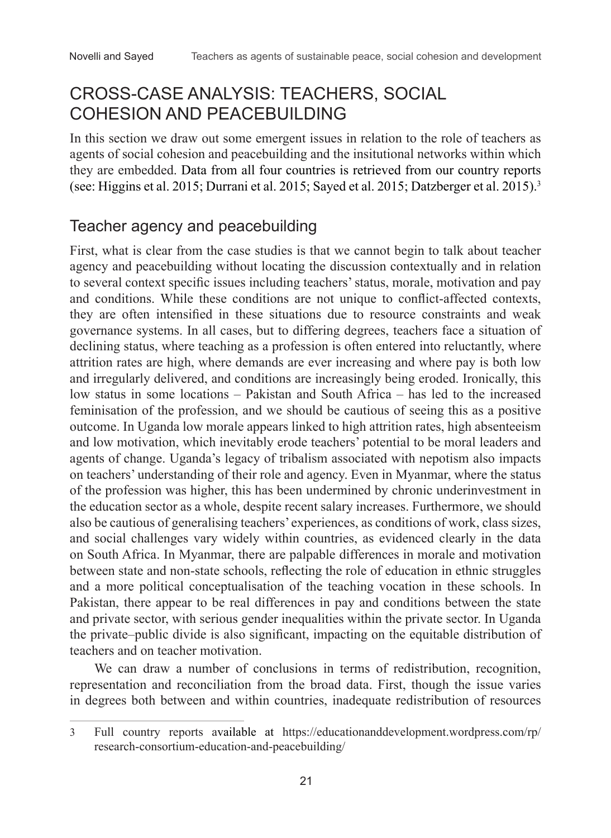### CROSS-CASE ANALYSIS: TEACHERS, SOCIAL COHESION AND PEACEBUILDING

In this section we draw out some emergent issues in relation to the role of teachers as agents of social cohesion and peacebuilding and the insitutional networks within which they are embedded. Data from all four countries is retrieved from our country reports (see: Higgins et al. 2015; Durrani et al. 2015; Sayed et al. 2015; Datzberger et al. 2015).3

### Teacher agency and peacebuilding

First, what is clear from the case studies is that we cannot begin to talk about teacher agency and peacebuilding without locating the discussion contextually and in relation to several context specific issues including teachers' status, morale, motivation and pay and conditions. While these conditions are not unique to conflict-affected contexts, they are often intensified in these situations due to resource constraints and weak governance systems. In all cases, but to differing degrees, teachers face a situation of declining status, where teaching as a profession is often entered into reluctantly, where attrition rates are high, where demands are ever increasing and where pay is both low and irregularly delivered, and conditions are increasingly being eroded. Ironically, this low status in some locations – Pakistan and South Africa – has led to the increased feminisation of the profession, and we should be cautious of seeing this as a positive outcome. In Uganda low morale appears linked to high attrition rates, high absenteeism and low motivation, which inevitably erode teachers' potential to be moral leaders and agents of change. Uganda's legacy of tribalism associated with nepotism also impacts on teachers' understanding of their role and agency. Even in Myanmar, where the status of the profession was higher, this has been undermined by chronic underinvestment in the education sector as a whole, despite recent salary increases. Furthermore, we should also be cautious of generalising teachers' experiences, as conditions of work, class sizes, and social challenges vary widely within countries, as evidenced clearly in the data on South Africa. In Myanmar, there are palpable differences in morale and motivation between state and non-state schools, reflecting the role of education in ethnic struggles and a more political conceptualisation of the teaching vocation in these schools. In Pakistan, there appear to be real differences in pay and conditions between the state and private sector, with serious gender inequalities within the private sector. In Uganda the private–public divide is also significant, impacting on the equitable distribution of teachers and on teacher motivation.

We can draw a number of conclusions in terms of redistribution, recognition, representation and reconciliation from the broad data. First, though the issue varies in degrees both between and within countries, inadequate redistribution of resources

<sup>3</sup> Full country reports available at https://educationanddevelopment.wordpress.com/rp/ research-consortium-education-and-peacebuilding/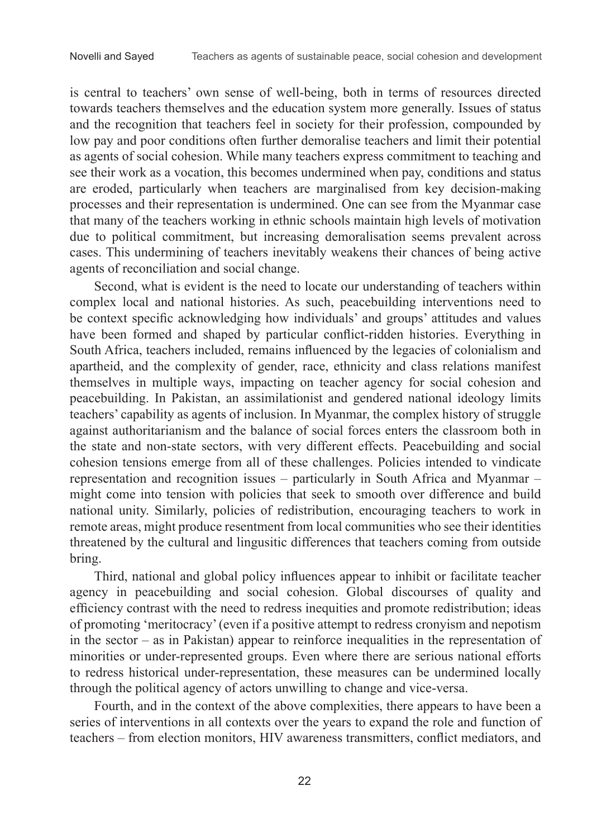is central to teachers' own sense of well-being, both in terms of resources directed towards teachers themselves and the education system more generally. Issues of status and the recognition that teachers feel in society for their profession, compounded by low pay and poor conditions often further demoralise teachers and limit their potential as agents of social cohesion. While many teachers express commitment to teaching and see their work as a vocation, this becomes undermined when pay, conditions and status are eroded, particularly when teachers are marginalised from key decision-making processes and their representation is undermined. One can see from the Myanmar case that many of the teachers working in ethnic schools maintain high levels of motivation due to political commitment, but increasing demoralisation seems prevalent across cases. This undermining of teachers inevitably weakens their chances of being active agents of reconciliation and social change.

Second, what is evident is the need to locate our understanding of teachers within complex local and national histories. As such, peacebuilding interventions need to be context specific acknowledging how individuals' and groups' attitudes and values have been formed and shaped by particular conflict-ridden histories. Everything in South Africa, teachers included, remains influenced by the legacies of colonialism and apartheid, and the complexity of gender, race, ethnicity and class relations manifest themselves in multiple ways, impacting on teacher agency for social cohesion and peacebuilding. In Pakistan, an assimilationist and gendered national ideology limits teachers' capability as agents of inclusion. In Myanmar, the complex history of struggle against authoritarianism and the balance of social forces enters the classroom both in the state and non-state sectors, with very different effects. Peacebuilding and social cohesion tensions emerge from all of these challenges. Policies intended to vindicate representation and recognition issues – particularly in South Africa and Myanmar – might come into tension with policies that seek to smooth over difference and build national unity. Similarly, policies of redistribution, encouraging teachers to work in remote areas, might produce resentment from local communities who see their identities threatened by the cultural and lingusitic differences that teachers coming from outside bring.

Third, national and global policy influences appear to inhibit or facilitate teacher agency in peacebuilding and social cohesion. Global discourses of quality and efficiency contrast with the need to redress inequities and promote redistribution; ideas of promoting 'meritocracy' (even if a positive attempt to redress cronyism and nepotism in the sector – as in Pakistan) appear to reinforce inequalities in the representation of minorities or under-represented groups. Even where there are serious national efforts to redress historical under-representation, these measures can be undermined locally through the political agency of actors unwilling to change and vice-versa.

Fourth, and in the context of the above complexities, there appears to have been a series of interventions in all contexts over the years to expand the role and function of teachers – from election monitors, HIV awareness transmitters, conflict mediators, and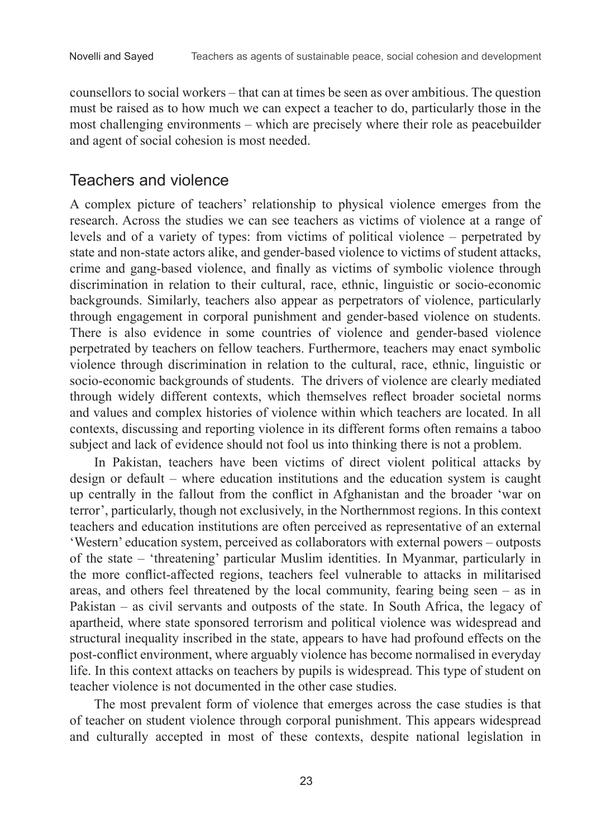counsellors to social workers – that can at times be seen as over ambitious. The question must be raised as to how much we can expect a teacher to do, particularly those in the most challenging environments – which are precisely where their role as peacebuilder and agent of social cohesion is most needed.

#### Teachers and violence

A complex picture of teachers' relationship to physical violence emerges from the research. Across the studies we can see teachers as victims of violence at a range of levels and of a variety of types: from victims of political violence – perpetrated by state and non-state actors alike, and gender-based violence to victims of student attacks, crime and gang-based violence, and finally as victims of symbolic violence through discrimination in relation to their cultural, race, ethnic, linguistic or socio-economic backgrounds. Similarly, teachers also appear as perpetrators of violence, particularly through engagement in corporal punishment and gender-based violence on students. There is also evidence in some countries of violence and gender-based violence perpetrated by teachers on fellow teachers. Furthermore, teachers may enact symbolic violence through discrimination in relation to the cultural, race, ethnic, linguistic or socio-economic backgrounds of students. The drivers of violence are clearly mediated through widely different contexts, which themselves reflect broader societal norms and values and complex histories of violence within which teachers are located. In all contexts, discussing and reporting violence in its different forms often remains a taboo subject and lack of evidence should not fool us into thinking there is not a problem.

In Pakistan, teachers have been victims of direct violent political attacks by design or default – where education institutions and the education system is caught up centrally in the fallout from the conflict in Afghanistan and the broader 'war on terror', particularly, though not exclusively, in the Northernmost regions. In this context teachers and education institutions are often perceived as representative of an external 'Western' education system, perceived as collaborators with external powers – outposts of the state ‒ 'threatening' particular Muslim identities. In Myanmar, particularly in the more conflict-affected regions, teachers feel vulnerable to attacks in militarised areas, and others feel threatened by the local community, fearing being seen – as in Pakistan – as civil servants and outposts of the state. In South Africa, the legacy of apartheid, where state sponsored terrorism and political violence was widespread and structural inequality inscribed in the state, appears to have had profound effects on the post-conflict environment, where arguably violence has become normalised in everyday life. In this context attacks on teachers by pupils is widespread. This type of student on teacher violence is not documented in the other case studies.

The most prevalent form of violence that emerges across the case studies is that of teacher on student violence through corporal punishment. This appears widespread and culturally accepted in most of these contexts, despite national legislation in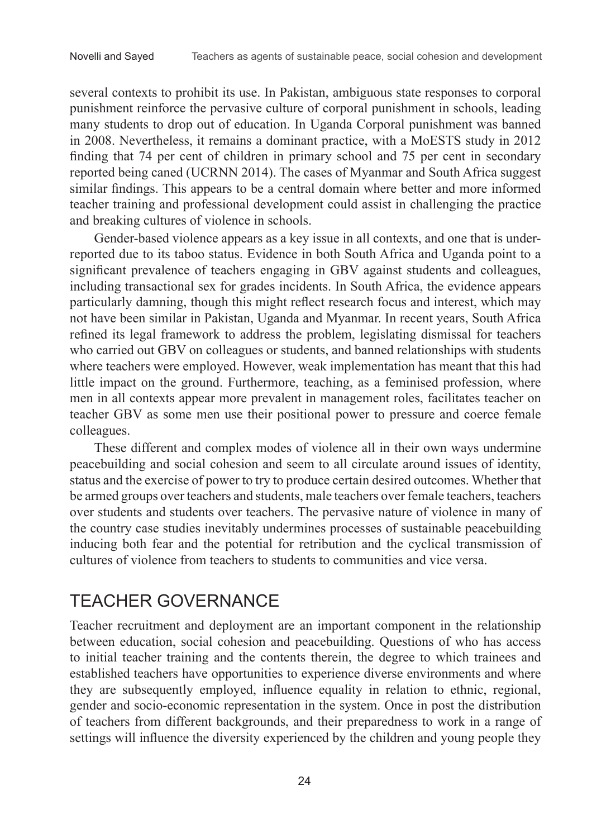several contexts to prohibit its use. In Pakistan, ambiguous state responses to corporal punishment reinforce the pervasive culture of corporal punishment in schools, leading many students to drop out of education. In Uganda Corporal punishment was banned in 2008. Nevertheless, it remains a dominant practice, with a MoESTS study in 2012 finding that 74 per cent of children in primary school and 75 per cent in secondary reported being caned (UCRNN 2014). The cases of Myanmar and South Africa suggest similar findings. This appears to be a central domain where better and more informed teacher training and professional development could assist in challenging the practice and breaking cultures of violence in schools.

Gender-based violence appears as a key issue in all contexts, and one that is underreported due to its taboo status. Evidence in both South Africa and Uganda point to a significant prevalence of teachers engaging in GBV against students and colleagues, including transactional sex for grades incidents. In South Africa, the evidence appears particularly damning, though this might reflect research focus and interest, which may not have been similar in Pakistan, Uganda and Myanmar. In recent years, South Africa refined its legal framework to address the problem, legislating dismissal for teachers who carried out GBV on colleagues or students, and banned relationships with students where teachers were employed. However, weak implementation has meant that this had little impact on the ground. Furthermore, teaching, as a feminised profession, where men in all contexts appear more prevalent in management roles, facilitates teacher on teacher GBV as some men use their positional power to pressure and coerce female colleagues.

These different and complex modes of violence all in their own ways undermine peacebuilding and social cohesion and seem to all circulate around issues of identity, status and the exercise of power to try to produce certain desired outcomes. Whether that be armed groups over teachers and students, male teachers over female teachers, teachers over students and students over teachers. The pervasive nature of violence in many of the country case studies inevitably undermines processes of sustainable peacebuilding inducing both fear and the potential for retribution and the cyclical transmission of cultures of violence from teachers to students to communities and vice versa.

### TEACHER GOVERNANCE

Teacher recruitment and deployment are an important component in the relationship between education, social cohesion and peacebuilding. Questions of who has access to initial teacher training and the contents therein, the degree to which trainees and established teachers have opportunities to experience diverse environments and where they are subsequently employed, influence equality in relation to ethnic, regional, gender and socio-economic representation in the system. Once in post the distribution of teachers from different backgrounds, and their preparedness to work in a range of settings will influence the diversity experienced by the children and young people they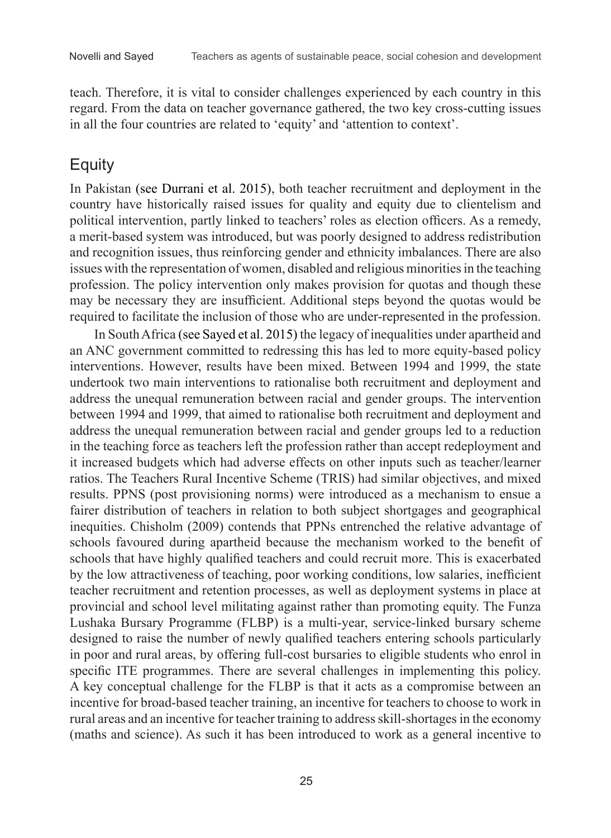teach. Therefore, it is vital to consider challenges experienced by each country in this regard. From the data on teacher governance gathered, the two key cross-cutting issues in all the four countries are related to 'equity' and 'attention to context'.

### Equity

In Pakistan (see Durrani et al. 2015), both teacher recruitment and deployment in the country have historically raised issues for quality and equity due to clientelism and political intervention, partly linked to teachers' roles as election officers. As a remedy, a merit-based system was introduced, but was poorly designed to address redistribution and recognition issues, thus reinforcing gender and ethnicity imbalances. There are also issues with the representation of women, disabled and religious minorities in the teaching profession. The policy intervention only makes provision for quotas and though these may be necessary they are insufficient. Additional steps beyond the quotas would be required to facilitate the inclusion of those who are under-represented in the profession.

In South Africa (see Sayed et al. 2015) the legacy of inequalities under apartheid and an ANC government committed to redressing this has led to more equity-based policy interventions. However, results have been mixed. Between 1994 and 1999, the state undertook two main interventions to rationalise both recruitment and deployment and address the unequal remuneration between racial and gender groups. The intervention between 1994 and 1999, that aimed to rationalise both recruitment and deployment and address the unequal remuneration between racial and gender groups led to a reduction in the teaching force as teachers left the profession rather than accept redeployment and it increased budgets which had adverse effects on other inputs such as teacher/learner ratios. The Teachers Rural Incentive Scheme (TRIS) had similar objectives, and mixed results. PPNS (post provisioning norms) were introduced as a mechanism to ensue a fairer distribution of teachers in relation to both subject shortgages and geographical inequities. Chisholm (2009) contends that PPNs entrenched the relative advantage of schools favoured during apartheid because the mechanism worked to the benefit of schools that have highly qualified teachers and could recruit more. This is exacerbated by the low attractiveness of teaching, poor working conditions, low salaries, inefficient teacher recruitment and retention processes, as well as deployment systems in place at provincial and school level militating against rather than promoting equity. The Funza Lushaka Bursary Programme (FLBP) is a multi-year, service-linked bursary scheme designed to raise the number of newly qualified teachers entering schools particularly in poor and rural areas, by offering full-cost bursaries to eligible students who enrol in specific ITE programmes. There are several challenges in implementing this policy. A key conceptual challenge for the FLBP is that it acts as a compromise between an incentive for broad-based teacher training, an incentive for teachers to choose to work in rural areas and an incentive for teacher training to address skill-shortages in the economy (maths and science). As such it has been introduced to work as a general incentive to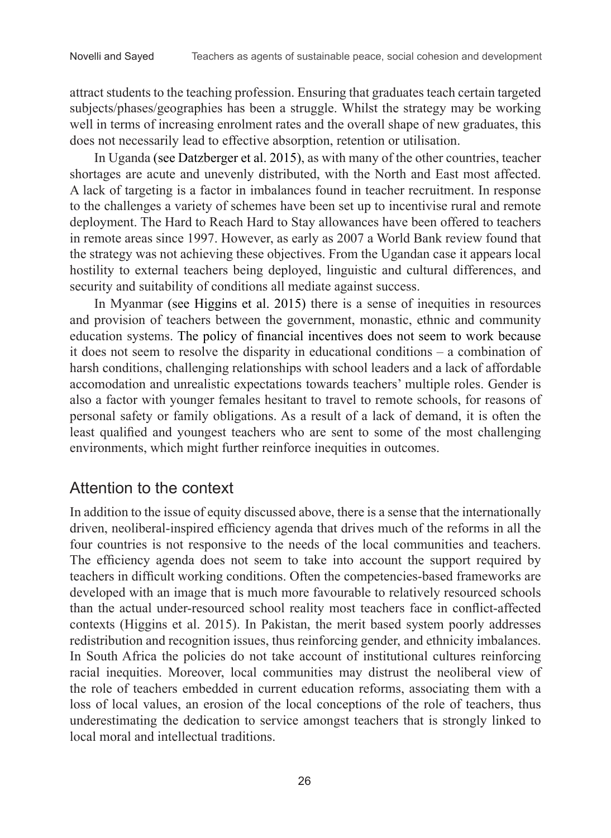attract students to the teaching profession. Ensuring that graduates teach certain targeted subjects/phases/geographies has been a struggle. Whilst the strategy may be working well in terms of increasing enrolment rates and the overall shape of new graduates, this does not necessarily lead to effective absorption, retention or utilisation.

In Uganda (see Datzberger et al. 2015), as with many of the other countries, teacher shortages are acute and unevenly distributed, with the North and East most affected. A lack of targeting is a factor in imbalances found in teacher recruitment. In response to the challenges a variety of schemes have been set up to incentivise rural and remote deployment. The Hard to Reach Hard to Stay allowances have been offered to teachers in remote areas since 1997. However, as early as 2007 a World Bank review found that the strategy was not achieving these objectives. From the Ugandan case it appears local hostility to external teachers being deployed, linguistic and cultural differences, and security and suitability of conditions all mediate against success.

In Myanmar (see Higgins et al. 2015) there is a sense of inequities in resources and provision of teachers between the government, monastic, ethnic and community education systems. The policy of financial incentives does not seem to work because it does not seem to resolve the disparity in educational conditions ‒ a combination of harsh conditions, challenging relationships with school leaders and a lack of affordable accomodation and unrealistic expectations towards teachers' multiple roles. Gender is also a factor with younger females hesitant to travel to remote schools, for reasons of personal safety or family obligations. As a result of a lack of demand, it is often the least qualified and youngest teachers who are sent to some of the most challenging environments, which might further reinforce inequities in outcomes.

### Attention to the context

In addition to the issue of equity discussed above, there is a sense that the internationally driven, neoliberal-inspired efficiency agenda that drives much of the reforms in all the four countries is not responsive to the needs of the local communities and teachers. The efficiency agenda does not seem to take into account the support required by teachers in difficult working conditions. Often the competencies-based frameworks are developed with an image that is much more favourable to relatively resourced schools than the actual under-resourced school reality most teachers face in conflict-affected contexts (Higgins et al. 2015). In Pakistan, the merit based system poorly addresses redistribution and recognition issues, thus reinforcing gender, and ethnicity imbalances. In South Africa the policies do not take account of institutional cultures reinforcing racial inequities. Moreover, local communities may distrust the neoliberal view of the role of teachers embedded in current education reforms, associating them with a loss of local values, an erosion of the local conceptions of the role of teachers, thus underestimating the dedication to service amongst teachers that is strongly linked to local moral and intellectual traditions.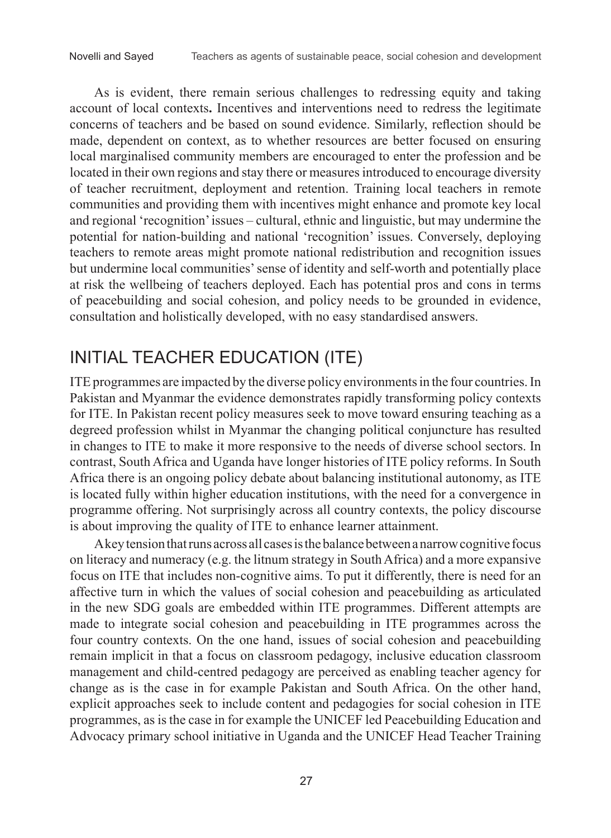As is evident, there remain serious challenges to redressing equity and taking account of local contexts**.** Incentives and interventions need to redress the legitimate concerns of teachers and be based on sound evidence. Similarly, reflection should be made, dependent on context, as to whether resources are better focused on ensuring local marginalised community members are encouraged to enter the profession and be located in their own regions and stay there or measures introduced to encourage diversity of teacher recruitment, deployment and retention. Training local teachers in remote communities and providing them with incentives might enhance and promote key local and regional 'recognition' issues – cultural, ethnic and linguistic, but may undermine the potential for nation-building and national 'recognition' issues. Conversely, deploying teachers to remote areas might promote national redistribution and recognition issues but undermine local communities' sense of identity and self-worth and potentially place at risk the wellbeing of teachers deployed. Each has potential pros and cons in terms of peacebuilding and social cohesion, and policy needs to be grounded in evidence, consultation and holistically developed, with no easy standardised answers.

# INITIAL TEACHER EDUCATION (ITE)

ITE programmes are impacted by the diverse policy environments in the four countries. In Pakistan and Myanmar the evidence demonstrates rapidly transforming policy contexts for ITE. In Pakistan recent policy measures seek to move toward ensuring teaching as a degreed profession whilst in Myanmar the changing political conjuncture has resulted in changes to ITE to make it more responsive to the needs of diverse school sectors. In contrast, South Africa and Uganda have longer histories of ITE policy reforms. In South Africa there is an ongoing policy debate about balancing institutional autonomy, as ITE is located fully within higher education institutions, with the need for a convergence in programme offering. Not surprisingly across all country contexts, the policy discourse is about improving the quality of ITE to enhance learner attainment.

A key tension that runs across all cases is the balance between a narrow cognitive focus on literacy and numeracy (e.g. the litnum strategy in South Africa) and a more expansive focus on ITE that includes non-cognitive aims. To put it differently, there is need for an affective turn in which the values of social cohesion and peacebuilding as articulated in the new SDG goals are embedded within ITE programmes. Different attempts are made to integrate social cohesion and peacebuilding in ITE programmes across the four country contexts. On the one hand, issues of social cohesion and peacebuilding remain implicit in that a focus on classroom pedagogy, inclusive education classroom management and child-centred pedagogy are perceived as enabling teacher agency for change as is the case in for example Pakistan and South Africa. On the other hand, explicit approaches seek to include content and pedagogies for social cohesion in ITE programmes, as is the case in for example the UNICEF led Peacebuilding Education and Advocacy primary school initiative in Uganda and the UNICEF Head Teacher Training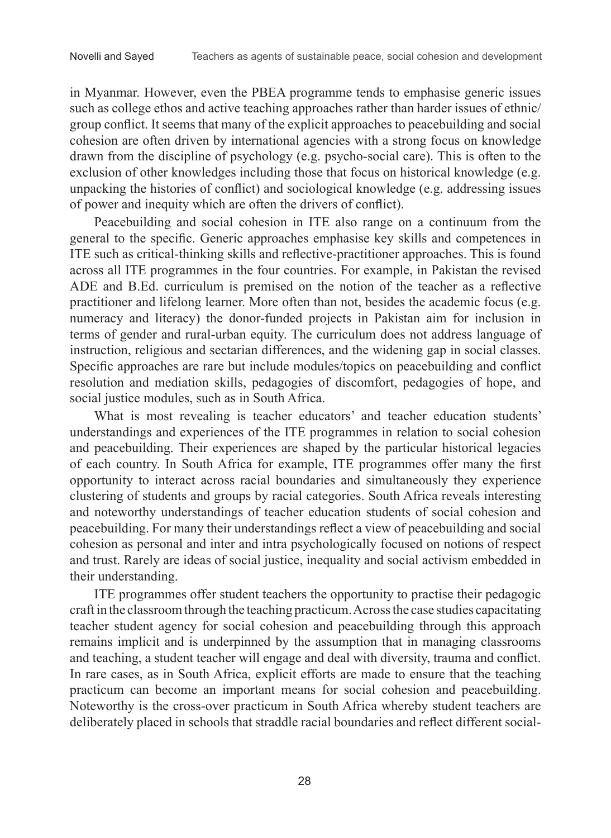in Myanmar. However, even the PBEA programme tends to emphasise generic issues such as college ethos and active teaching approaches rather than harder issues of ethnic/ group conflict. It seems that many of the explicit approaches to peacebuilding and social cohesion are often driven by international agencies with a strong focus on knowledge drawn from the discipline of psychology (e.g. psycho-social care). This is often to the exclusion of other knowledges including those that focus on historical knowledge (e.g. unpacking the histories of conflict) and sociological knowledge (e.g. addressing issues of power and inequity which are often the drivers of conflict).

Peacebuilding and social cohesion in ITE also range on a continuum from the general to the specific. Generic approaches emphasise key skills and competences in ITE such as critical-thinking skills and reflective-practitioner approaches. This is found across all ITE programmes in the four countries. For example, in Pakistan the revised ADE and B.Ed. curriculum is premised on the notion of the teacher as a reflective practitioner and lifelong learner. More often than not, besides the academic focus (e.g. numeracy and literacy) the donor-funded projects in Pakistan aim for inclusion in terms of gender and rural-urban equity. The curriculum does not address language of instruction, religious and sectarian differences, and the widening gap in social classes. Specific approaches are rare but include modules/topics on peacebuilding and conflict resolution and mediation skills, pedagogies of discomfort, pedagogies of hope, and social justice modules, such as in South Africa.

What is most revealing is teacher educators' and teacher education students' understandings and experiences of the ITE programmes in relation to social cohesion and peacebuilding. Their experiences are shaped by the particular historical legacies of each country. In South Africa for example, ITE programmes offer many the first opportunity to interact across racial boundaries and simultaneously they experience clustering of students and groups by racial categories. South Africa reveals interesting and noteworthy understandings of teacher education students of social cohesion and peacebuilding. For many their understandings reflect a view of peacebuilding and social cohesion as personal and inter and intra psychologically focused on notions of respect and trust. Rarely are ideas of social justice, inequality and social activism embedded in their understanding.

ITE programmes offer student teachers the opportunity to practise their pedagogic craft in the classroom through the teaching practicum. Across the case studies capacitating teacher student agency for social cohesion and peacebuilding through this approach remains implicit and is underpinned by the assumption that in managing classrooms and teaching, a student teacher will engage and deal with diversity, trauma and conflict. In rare cases, as in South Africa, explicit efforts are made to ensure that the teaching practicum can become an important means for social cohesion and peacebuilding. Noteworthy is the cross-over practicum in South Africa whereby student teachers are deliberately placed in schools that straddle racial boundaries and reflect different social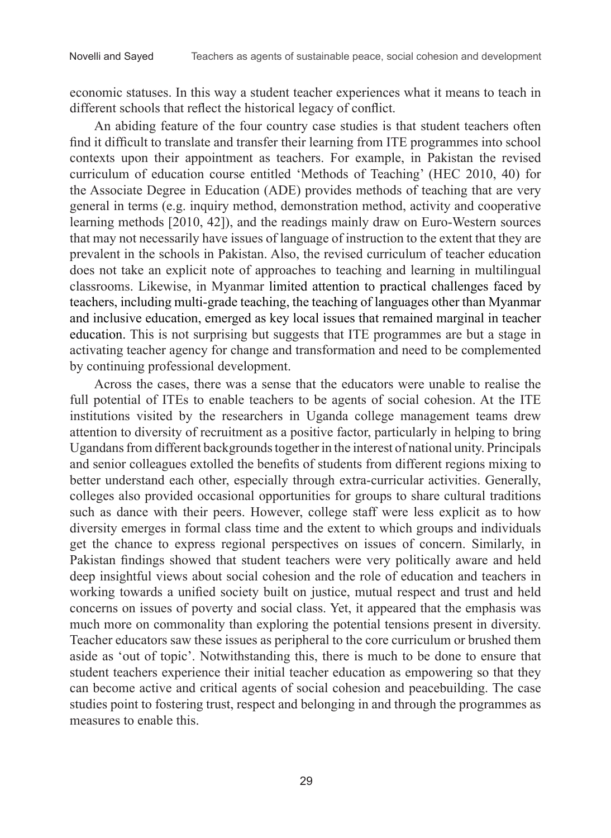economic statuses. In this way a student teacher experiences what it means to teach in different schools that reflect the historical legacy of conflict.

An abiding feature of the four country case studies is that student teachers often find it difficult to translate and transfer their learning from ITE programmes into school contexts upon their appointment as teachers. For example, in Pakistan the revised curriculum of education course entitled 'Methods of Teaching' (HEC 2010, 40) for the Associate Degree in Education (ADE) provides methods of teaching that are very general in terms (e.g. inquiry method, demonstration method, activity and cooperative learning methods [2010, 42]), and the readings mainly draw on Euro-Western sources that may not necessarily have issues of language of instruction to the extent that they are prevalent in the schools in Pakistan. Also, the revised curriculum of teacher education does not take an explicit note of approaches to teaching and learning in multilingual classrooms. Likewise, in Myanmar limited attention to practical challenges faced by teachers, including multi-grade teaching, the teaching of languages other than Myanmar and inclusive education, emerged as key local issues that remained marginal in teacher education. This is not surprising but suggests that ITE programmes are but a stage in activating teacher agency for change and transformation and need to be complemented by continuing professional development.

Across the cases, there was a sense that the educators were unable to realise the full potential of ITEs to enable teachers to be agents of social cohesion. At the ITE institutions visited by the researchers in Uganda college management teams drew attention to diversity of recruitment as a positive factor, particularly in helping to bring Ugandans from different backgrounds together in the interest of national unity. Principals and senior colleagues extolled the benefits of students from different regions mixing to better understand each other, especially through extra-curricular activities. Generally, colleges also provided occasional opportunities for groups to share cultural traditions such as dance with their peers. However, college staff were less explicit as to how diversity emerges in formal class time and the extent to which groups and individuals get the chance to express regional perspectives on issues of concern. Similarly, in Pakistan findings showed that student teachers were very politically aware and held deep insightful views about social cohesion and the role of education and teachers in working towards a unified society built on justice, mutual respect and trust and held concerns on issues of poverty and social class. Yet, it appeared that the emphasis was much more on commonality than exploring the potential tensions present in diversity. Teacher educators saw these issues as peripheral to the core curriculum or brushed them aside as 'out of topic'. Notwithstanding this, there is much to be done to ensure that student teachers experience their initial teacher education as empowering so that they can become active and critical agents of social cohesion and peacebuilding. The case studies point to fostering trust, respect and belonging in and through the programmes as measures to enable this.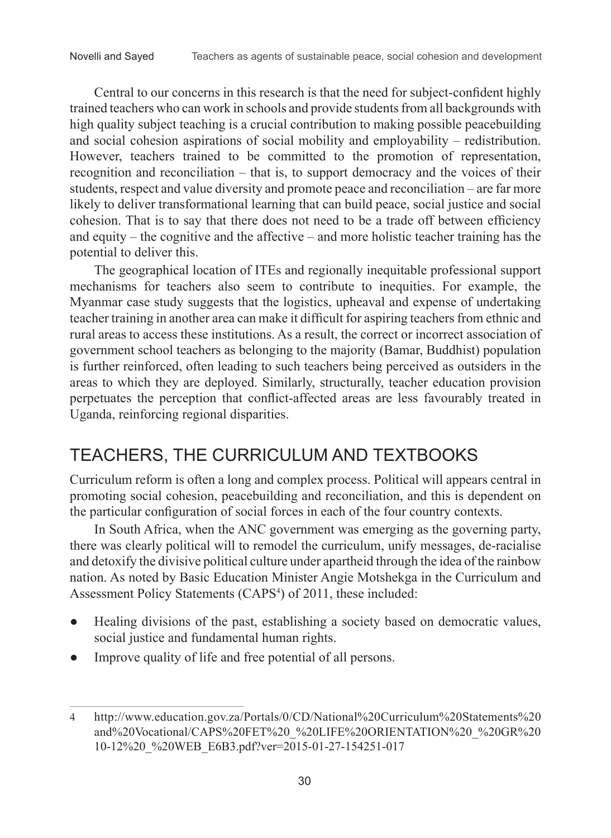Central to our concerns in this research is that the need for subject-confident highly trained teachers who can work in schools and provide students from all backgrounds with high quality subject teaching is a crucial contribution to making possible peacebuilding and social cohesion aspirations of social mobility and employability – redistribution. However, teachers trained to be committed to the promotion of representation, recognition and reconciliation – that is, to support democracy and the voices of their students, respect and value diversity and promote peace and reconciliation – are far more likely to deliver transformational learning that can build peace, social justice and social cohesion. That is to say that there does not need to be a trade off between efficiency and equity – the cognitive and the affective – and more holistic teacher training has the potential to deliver this.

The geographical location of ITEs and regionally inequitable professional support mechanisms for teachers also seem to contribute to inequities. For example, the Myanmar case study suggests that the logistics, upheaval and expense of undertaking teacher training in another area can make it difficult for aspiring teachers from ethnic and rural areas to access these institutions. As a result, the correct or incorrect association of government school teachers as belonging to the majority (Bamar, Buddhist) population is further reinforced, often leading to such teachers being perceived as outsiders in the areas to which they are deployed. Similarly, structurally, teacher education provision perpetuates the perception that conflict-affected areas are less favourably treated in Uganda, reinforcing regional disparities.

### TEACHERS, THE CURRICULUM AND TEXTBOOKS

Curriculum reform is often a long and complex process. Political will appears central in promoting social cohesion, peacebuilding and reconciliation, and this is dependent on the particular configuration of social forces in each of the four country contexts.

In South Africa, when the ANC government was emerging as the governing party, there was clearly political will to remodel the curriculum, unify messages, de-racialise and detoxify the divisive political culture under apartheid through the idea of the rainbow nation. As noted by Basic Education Minister Angie Motshekga in the Curriculum and Assessment Policy Statements (CAPS<sup>4</sup>) of 2011, these included:

- Healing divisions of the past, establishing a society based on democratic values, social justice and fundamental human rights.
- Improve quality of life and free potential of all persons.

<sup>4</sup> http://www.education.gov.za/Portals/0/CD/National%20Curriculum%20Statements%20 and%20Vocational/CAPS%20FET%20\_%20LIFE%20ORIENTATION%20\_%20GR%20 10-12%20\_%20WEB\_E6B3.pdf?ver=2015-01-27-154251-017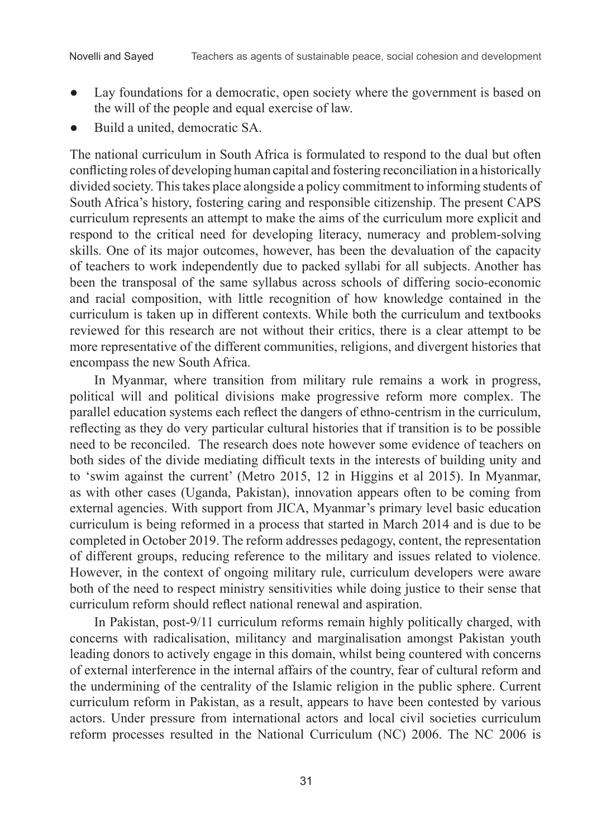- Lay foundations for a democratic, open society where the government is based on the will of the people and equal exercise of law.
- Build a united, democratic SA.

The national curriculum in South Africa is formulated to respond to the dual but often conflicting roles of developing human capital and fostering reconciliation in a historically divided society. This takes place alongside a policy commitment to informing students of South Africa's history, fostering caring and responsible citizenship. The present CAPS curriculum represents an attempt to make the aims of the curriculum more explicit and respond to the critical need for developing literacy, numeracy and problem-solving skills. One of its major outcomes, however, has been the devaluation of the capacity of teachers to work independently due to packed syllabi for all subjects. Another has been the transposal of the same syllabus across schools of differing socio-economic and racial composition, with little recognition of how knowledge contained in the curriculum is taken up in different contexts. While both the curriculum and textbooks reviewed for this research are not without their critics, there is a clear attempt to be more representative of the different communities, religions, and divergent histories that encompass the new South Africa.

In Myanmar, where transition from military rule remains a work in progress, political will and political divisions make progressive reform more complex. The parallel education systems each reflect the dangers of ethno-centrism in the curriculum, reflecting as they do very particular cultural histories that if transition is to be possible need to be reconciled. The research does note however some evidence of teachers on both sides of the divide mediating difficult texts in the interests of building unity and to 'swim against the current' (Metro 2015, 12 in Higgins et al 2015). In Myanmar, as with other cases (Uganda, Pakistan), innovation appears often to be coming from external agencies. With support from JICA, Myanmar's primary level basic education curriculum is being reformed in a process that started in March 2014 and is due to be completed in October 2019. The reform addresses pedagogy, content, the representation of different groups, reducing reference to the military and issues related to violence. However, in the context of ongoing military rule, curriculum developers were aware both of the need to respect ministry sensitivities while doing justice to their sense that curriculum reform should reflect national renewal and aspiration.

In Pakistan, post-9/11 curriculum reforms remain highly politically charged, with concerns with radicalisation, militancy and marginalisation amongst Pakistan youth leading donors to actively engage in this domain, whilst being countered with concerns of external interference in the internal affairs of the country, fear of cultural reform and the undermining of the centrality of the Islamic religion in the public sphere. Current curriculum reform in Pakistan, as a result, appears to have been contested by various actors. Under pressure from international actors and local civil societies curriculum reform processes resulted in the National Curriculum (NC) 2006. The NC 2006 is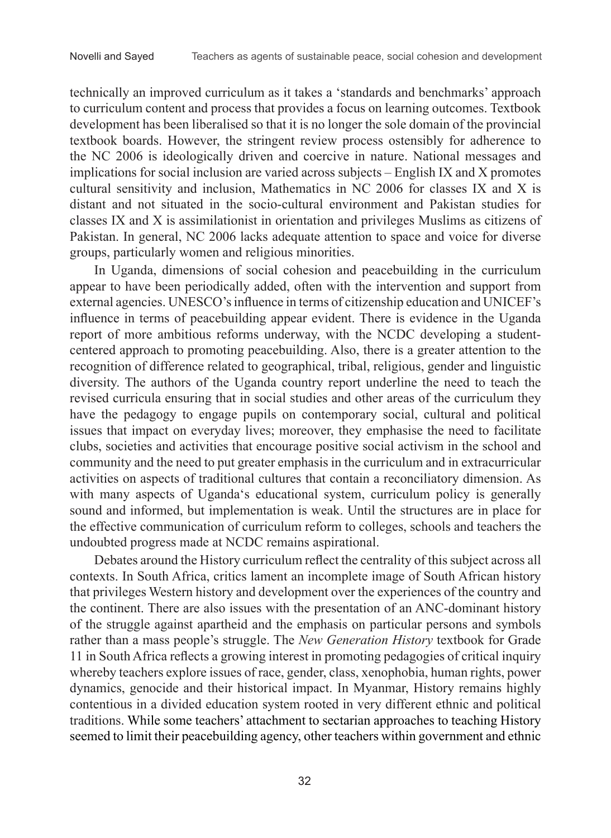technically an improved curriculum as it takes a 'standards and benchmarks' approach to curriculum content and process that provides a focus on learning outcomes. Textbook development has been liberalised so that it is no longer the sole domain of the provincial textbook boards. However, the stringent review process ostensibly for adherence to the NC 2006 is ideologically driven and coercive in nature. National messages and implications for social inclusion are varied across subjects ‒ English IX and X promotes cultural sensitivity and inclusion, Mathematics in NC 2006 for classes IX and X is distant and not situated in the socio-cultural environment and Pakistan studies for classes IX and X is assimilationist in orientation and privileges Muslims as citizens of Pakistan. In general, NC 2006 lacks adequate attention to space and voice for diverse groups, particularly women and religious minorities.

In Uganda, dimensions of social cohesion and peacebuilding in the curriculum appear to have been periodically added, often with the intervention and support from external agencies. UNESCO's influence in terms of citizenship education and UNICEF's influence in terms of peacebuilding appear evident. There is evidence in the Uganda report of more ambitious reforms underway, with the NCDC developing a studentcentered approach to promoting peacebuilding. Also, there is a greater attention to the recognition of difference related to geographical, tribal, religious, gender and linguistic diversity. The authors of the Uganda country report underline the need to teach the revised curricula ensuring that in social studies and other areas of the curriculum they have the pedagogy to engage pupils on contemporary social, cultural and political issues that impact on everyday lives; moreover, they emphasise the need to facilitate clubs, societies and activities that encourage positive social activism in the school and community and the need to put greater emphasis in the curriculum and in extracurricular activities on aspects of traditional cultures that contain a reconciliatory dimension. As with many aspects of Uganda's educational system, curriculum policy is generally sound and informed, but implementation is weak. Until the structures are in place for the effective communication of curriculum reform to colleges, schools and teachers the undoubted progress made at NCDC remains aspirational.

Debates around the History curriculum reflect the centrality of this subject across all contexts. In South Africa, critics lament an incomplete image of South African history that privileges Western history and development over the experiences of the country and the continent. There are also issues with the presentation of an ANC-dominant history of the struggle against apartheid and the emphasis on particular persons and symbols rather than a mass people's struggle. The *New Generation History* textbook for Grade 11 in South Africa reflects a growing interest in promoting pedagogies of critical inquiry whereby teachers explore issues of race, gender, class, xenophobia, human rights, power dynamics, genocide and their historical impact. In Myanmar, History remains highly contentious in a divided education system rooted in very different ethnic and political traditions. While some teachers' attachment to sectarian approaches to teaching History seemed to limit their peacebuilding agency, other teachers within government and ethnic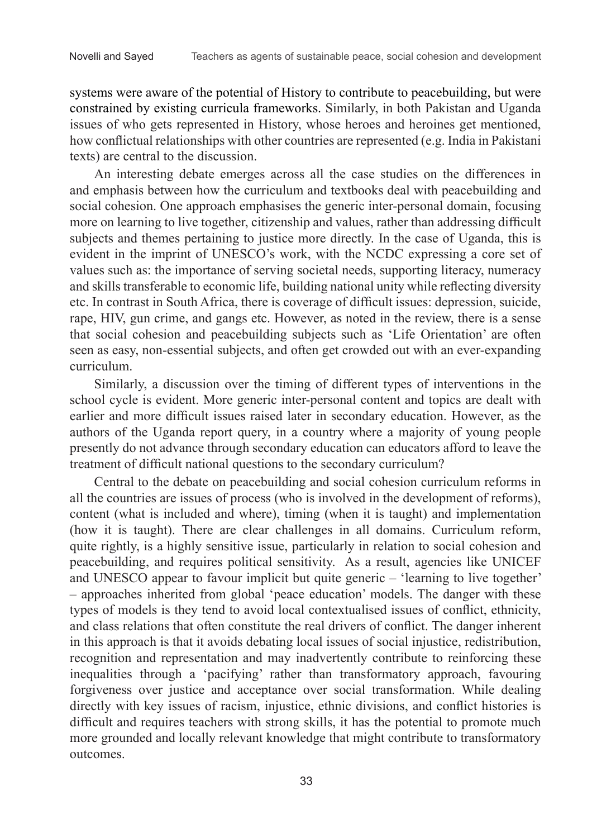systems were aware of the potential of History to contribute to peacebuilding, but were constrained by existing curricula frameworks. Similarly, in both Pakistan and Uganda issues of who gets represented in History, whose heroes and heroines get mentioned, how conflictual relationships with other countries are represented (e.g. India in Pakistani texts) are central to the discussion.

An interesting debate emerges across all the case studies on the differences in and emphasis between how the curriculum and textbooks deal with peacebuilding and social cohesion. One approach emphasises the generic inter-personal domain, focusing more on learning to live together, citizenship and values, rather than addressing difficult subjects and themes pertaining to justice more directly. In the case of Uganda, this is evident in the imprint of UNESCO's work, with the NCDC expressing a core set of values such as: the importance of serving societal needs, supporting literacy, numeracy and skills transferable to economic life, building national unity while reflecting diversity etc. In contrast in South Africa, there is coverage of difficult issues: depression, suicide, rape, HIV, gun crime, and gangs etc. However, as noted in the review, there is a sense that social cohesion and peacebuilding subjects such as 'Life Orientation' are often seen as easy, non-essential subjects, and often get crowded out with an ever-expanding curriculum.

Similarly, a discussion over the timing of different types of interventions in the school cycle is evident. More generic inter-personal content and topics are dealt with earlier and more difficult issues raised later in secondary education. However, as the authors of the Uganda report query, in a country where a majority of young people presently do not advance through secondary education can educators afford to leave the treatment of difficult national questions to the secondary curriculum?

Central to the debate on peacebuilding and social cohesion curriculum reforms in all the countries are issues of process (who is involved in the development of reforms), content (what is included and where), timing (when it is taught) and implementation (how it is taught). There are clear challenges in all domains. Curriculum reform, quite rightly, is a highly sensitive issue, particularly in relation to social cohesion and peacebuilding, and requires political sensitivity. As a result, agencies like UNICEF and UNESCO appear to favour implicit but quite generic – 'learning to live together' – approaches inherited from global 'peace education' models. The danger with these types of models is they tend to avoid local contextualised issues of conflict, ethnicity, and class relations that often constitute the real drivers of conflict. The danger inherent in this approach is that it avoids debating local issues of social injustice, redistribution, recognition and representation and may inadvertently contribute to reinforcing these inequalities through a 'pacifying' rather than transformatory approach, favouring forgiveness over justice and acceptance over social transformation. While dealing directly with key issues of racism, injustice, ethnic divisions, and conflict histories is difficult and requires teachers with strong skills, it has the potential to promote much more grounded and locally relevant knowledge that might contribute to transformatory outcomes.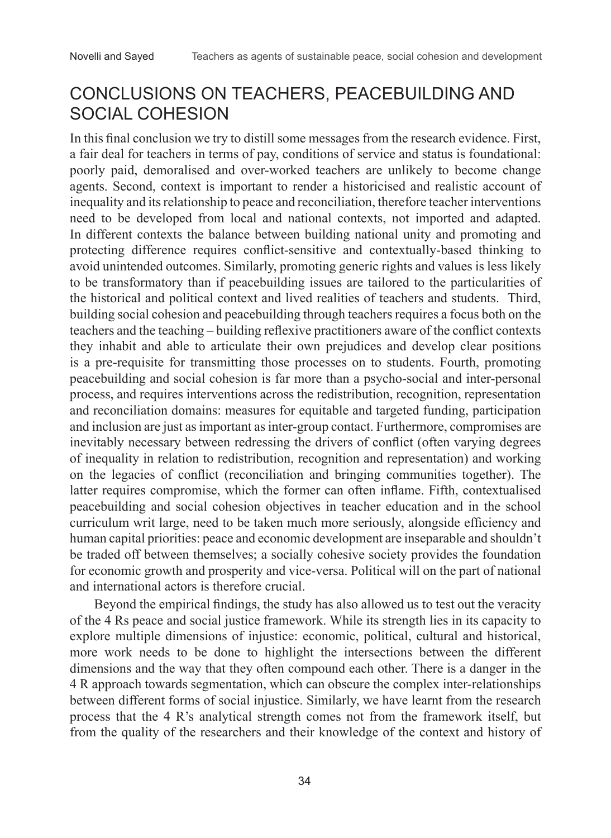### CONCLUSIONS ON TEACHERS, PEACEBUILDING AND SOCIAL COHESION

In this final conclusion we try to distill some messages from the research evidence. First, a fair deal for teachers in terms of pay, conditions of service and status is foundational: poorly paid, demoralised and over-worked teachers are unlikely to become change agents. Second, context is important to render a historicised and realistic account of inequality and its relationship to peace and reconciliation, therefore teacher interventions need to be developed from local and national contexts, not imported and adapted. In different contexts the balance between building national unity and promoting and protecting difference requires conflict-sensitive and contextually-based thinking to avoid unintended outcomes. Similarly, promoting generic rights and values is less likely to be transformatory than if peacebuilding issues are tailored to the particularities of the historical and political context and lived realities of teachers and students. Third, building social cohesion and peacebuilding through teachers requires a focus both on the teachers and the teaching ‒ building reflexive practitioners aware of the conflict contexts they inhabit and able to articulate their own prejudices and develop clear positions is a pre-requisite for transmitting those processes on to students. Fourth, promoting peacebuilding and social cohesion is far more than a psycho-social and inter-personal process, and requires interventions across the redistribution, recognition, representation and reconciliation domains: measures for equitable and targeted funding, participation and inclusion are just as important as inter-group contact. Furthermore, compromises are inevitably necessary between redressing the drivers of conflict (often varying degrees of inequality in relation to redistribution, recognition and representation) and working on the legacies of conflict (reconciliation and bringing communities together). The latter requires compromise, which the former can often inflame. Fifth, contextualised peacebuilding and social cohesion objectives in teacher education and in the school curriculum writ large, need to be taken much more seriously, alongside efficiency and human capital priorities: peace and economic development are inseparable and shouldn't be traded off between themselves; a socially cohesive society provides the foundation for economic growth and prosperity and vice-versa. Political will on the part of national and international actors is therefore crucial.

Beyond the empirical findings, the study has also allowed us to test out the veracity of the 4 Rs peace and social justice framework. While its strength lies in its capacity to explore multiple dimensions of injustice: economic, political, cultural and historical, more work needs to be done to highlight the intersections between the different dimensions and the way that they often compound each other. There is a danger in the 4 R approach towards segmentation, which can obscure the complex inter-relationships between different forms of social injustice. Similarly, we have learnt from the research process that the 4 R's analytical strength comes not from the framework itself, but from the quality of the researchers and their knowledge of the context and history of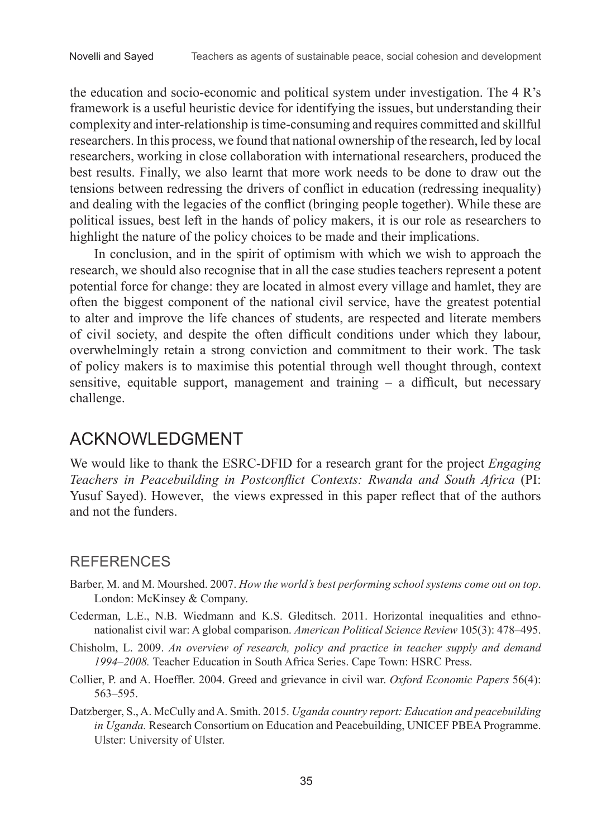the education and socio-economic and political system under investigation. The 4 R's framework is a useful heuristic device for identifying the issues, but understanding their complexity and inter-relationship is time-consuming and requires committed and skillful researchers. In this process, we found that national ownership of the research, led by local researchers, working in close collaboration with international researchers, produced the best results. Finally, we also learnt that more work needs to be done to draw out the tensions between redressing the drivers of conflict in education (redressing inequality) and dealing with the legacies of the conflict (bringing people together). While these are political issues, best left in the hands of policy makers, it is our role as researchers to highlight the nature of the policy choices to be made and their implications.

In conclusion, and in the spirit of optimism with which we wish to approach the research, we should also recognise that in all the case studies teachers represent a potent potential force for change: they are located in almost every village and hamlet, they are often the biggest component of the national civil service, have the greatest potential to alter and improve the life chances of students, are respected and literate members of civil society, and despite the often difficult conditions under which they labour, overwhelmingly retain a strong conviction and commitment to their work. The task of policy makers is to maximise this potential through well thought through, context sensitive, equitable support, management and training  $-$  a difficult, but necessary challenge.

### ACKNOWLEDGMENT

We would like to thank the ESRC-DFID for a research grant for the project *Engaging Teachers in Peacebuilding in Postconflict Contexts: Rwanda and South Africa* (PI: Yusuf Sayed). However, the views expressed in this paper reflect that of the authors and not the funders.

#### **REFERENCES**

- Barber, M. and M. Mourshed. 2007. *How the world's best performing school systems come out on top*. London: McKinsey & Company.
- Cederman, L.E., N.B. Wiedmann and K.S. Gleditsch. 2011. Horizontal inequalities and ethnonationalist civil war: A global comparison. *American Political Science Review* 105(3): 478–495.
- Chisholm, L. 2009. *An overview of research, policy and practice in teacher supply and demand 1994‒2008.* Teacher Education in South Africa Series. Cape Town: HSRC Press.
- Collier, P. and A. Hoeffler. 2004. Greed and grievance in civil war. *Oxford Economic Papers* 56(4): 563–595.
- Datzberger, S., A. McCully and A. Smith. 2015. *Uganda country report: Education and peacebuilding in Uganda.* Research Consortium on Education and Peacebuilding, UNICEF PBEA Programme. Ulster: University of Ulster.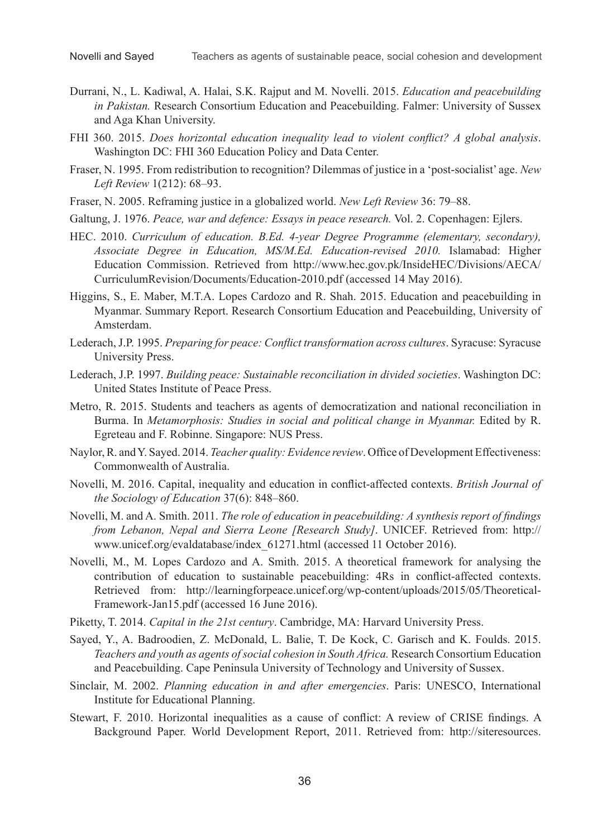- Durrani, N., L. Kadiwal, A. Halai, S.K. Rajput and M. Novelli. 2015. *Education and peacebuilding in Pakistan.* Research Consortium Education and Peacebuilding. Falmer: University of Sussex and Aga Khan University.
- FHI 360. 2015. *Does horizontal education inequality lead to violent conflict? A global analysis*. Washington DC: FHI 360 Education Policy and Data Center.
- Fraser, N. 1995. From redistribution to recognition? Dilemmas of justice in a 'post-socialist' age. *New Left Review* 1(212): 68–93.
- Fraser, N. 2005. Reframing justice in a globalized world. *New Left Review* 36: 79–88.
- Galtung, J. 1976. *Peace, war and defence: Essays in peace research.* Vol. 2. Copenhagen: Ejlers.
- HEC. 2010. *Curriculum of education. B.Ed. 4-year Degree Programme (elementary, secondary), Associate Degree in Education, MS/M.Ed. Education-revised 2010.* Islamabad: Higher Education Commission. Retrieved from http://www.hec.gov.pk/InsideHEC/Divisions/AECA/ CurriculumRevision/Documents/Education-2010.pdf (accessed 14 May 2016).
- Higgins, S., E. Maber, M.T.A. Lopes Cardozo and R. Shah. 2015. Education and peacebuilding in Myanmar. Summary Report. Research Consortium Education and Peacebuilding, University of Amsterdam.
- Lederach, J.P. 1995. *Preparing for peace: Conflict transformation across cultures*. Syracuse: Syracuse University Press.
- Lederach, J.P. 1997. *Building peace: Sustainable reconciliation in divided societies*. Washington DC: United States Institute of Peace Press.
- Metro, R. 2015. Students and teachers as agents of democratization and national reconciliation in Burma. In *Metamorphosis: Studies in social and political change in Myanmar.* Edited by R. Egreteau and F. Robinne. Singapore: NUS Press.
- Naylor, R. and Y. Sayed. 2014. *Teacher quality: Evidence review*. Office of Development Effectiveness: Commonwealth of Australia.
- Novelli, M. 2016. Capital, inequality and education in conflict-affected contexts. *British Journal of the Sociology of Education* 37(6): 848‒860.
- Novelli, M. and A. Smith. 2011. *The role of education in peacebuilding: A synthesis report of findings from Lebanon, Nepal and Sierra Leone [Research Study]*. UNICEF. Retrieved from: http:// www.unicef.org/evaldatabase/index\_61271.html (accessed 11 October 2016).
- Novelli, M., M. Lopes Cardozo and A. Smith. 2015. A theoretical framework for analysing the contribution of education to sustainable peacebuilding: 4Rs in conflict-affected contexts. Retrieved from: http://learningforpeace.unicef.org/wp-content/uploads/2015/05/Theoretical-Framework-Jan15.pdf (accessed 16 June 2016).
- Piketty, T. 2014. *Capital in the 21st century*. Cambridge, MA: Harvard University Press.
- Sayed, Y., A. Badroodien, Z. McDonald, L. Balie, T. De Kock, C. Garisch and K. Foulds. 2015. *Teachers and youth as agents of social cohesion in South Africa.* Research Consortium Education and Peacebuilding. Cape Peninsula University of Technology and University of Sussex.
- Sinclair, M. 2002. *Planning education in and after emergencies*. Paris: UNESCO, International Institute for Educational Planning.
- Stewart, F. 2010. Horizontal inequalities as a cause of conflict: A review of CRISE findings. A Background Paper. World Development Report, 2011. Retrieved from: http://siteresources.